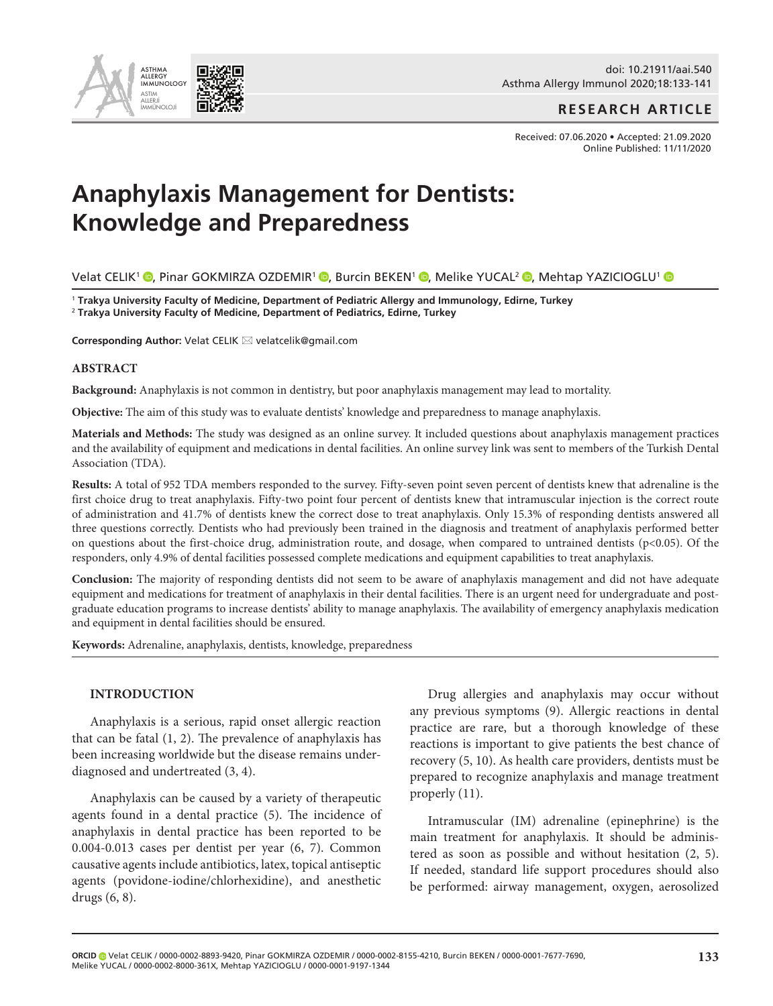

## **RESEARCH ARTICLE**

Received: 07.06.2020 • Accepted: 21.09.2020 Online Published: 11/11/2020

# **Anaphylaxis Management for Dentists: Knowledge and Preparedness**

Velat CELIK<sup>1</sup> **O**[,](http://orcid.org/0000-0001-7677-7690) Pinar GOKMIRZA OZDEMIR<sup>1</sup> **O**, Burcin BEKEN<sup>1</sup> **O**, Melike YUCAL<sup>2</sup> **O**, Mehtap YAZICIOGLU<sup>1</sup> O

<sup>1</sup> **Trakya University Faculty of Medicine, Department of Pediatric Allergy and Immunology, Edirne, Turkey**

<sup>2</sup> **Trakya University Faculty of Medicine, Department of Pediatrics, Edirne, Turkey**

**Corresponding Author: Velat CELIK** ⊠ velatcelik@gmail.com

#### **ABSTRACT**

**Background:** Anaphylaxis is not common in dentistry, but poor anaphylaxis management may lead to mortality.

**Objective:** The aim of this study was to evaluate dentists' knowledge and preparedness to manage anaphylaxis.

**Materials and Methods:** The study was designed as an online survey. It included questions about anaphylaxis management practices and the availability of equipment and medications in dental facilities. An online survey link was sent to members of the Turkish Dental Association (TDA).

**Results:** A total of 952 TDA members responded to the survey. Fifty-seven point seven percent of dentists knew that adrenaline is the first choice drug to treat anaphylaxis. Fifty-two point four percent of dentists knew that intramuscular injection is the correct route of administration and 41.7% of dentists knew the correct dose to treat anaphylaxis. Only 15.3% of responding dentists answered all three questions correctly. Dentists who had previously been trained in the diagnosis and treatment of anaphylaxis performed better on questions about the first-choice drug, administration route, and dosage, when compared to untrained dentists (p<0.05). Of the responders, only 4.9% of dental facilities possessed complete medications and equipment capabilities to treat anaphylaxis.

**Conclusion:** The majority of responding dentists did not seem to be aware of anaphylaxis management and did not have adequate equipment and medications for treatment of anaphylaxis in their dental facilities. There is an urgent need for undergraduate and postgraduate education programs to increase dentists' ability to manage anaphylaxis. The availability of emergency anaphylaxis medication and equipment in dental facilities should be ensured.

**Keywords:** Adrenaline, anaphylaxis, dentists, knowledge, preparedness

## **INTRODUCTION**

Anaphylaxis is a serious, rapid onset allergic reaction that can be fatal (1, 2). The prevalence of anaphylaxis has been increasing worldwide but the disease remains underdiagnosed and undertreated (3, 4).

Anaphylaxis can be caused by a variety of therapeutic agents found in a dental practice (5). The incidence of anaphylaxis in dental practice has been reported to be 0.004-0.013 cases per dentist per year (6, 7). Common causative agents include antibiotics, latex, topical antiseptic agents (povidone-iodine/chlorhexidine), and anesthetic drugs (6, 8).

Drug allergies and anaphylaxis may occur without any previous symptoms (9). Allergic reactions in dental practice are rare, but a thorough knowledge of these reactions is important to give patients the best chance of recovery (5, 10). As health care providers, dentists must be prepared to recognize anaphylaxis and manage treatment properly (11).

Intramuscular (IM) adrenaline (epinephrine) is the main treatment for anaphylaxis. It should be administered as soon as possible and without hesitation (2, 5). If needed, standard life support procedures should also be performed: airway management, oxygen, aerosolized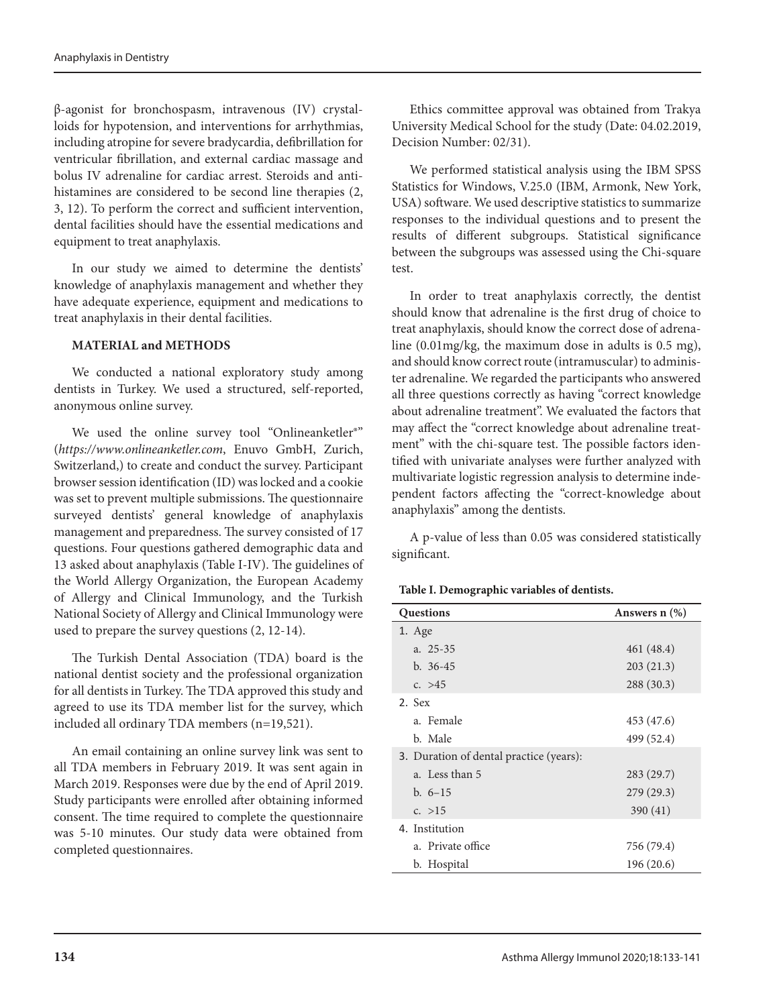β-agonist for bronchospasm, intravenous (IV) crystalloids for hypotension, and interventions for arrhythmias, including atropine for severe bradycardia, defibrillation for ventricular fibrillation, and external cardiac massage and bolus IV adrenaline for cardiac arrest. Steroids and antihistamines are considered to be second line therapies (2, 3, 12). To perform the correct and sufficient intervention, dental facilities should have the essential medications and equipment to treat anaphylaxis.

In our study we aimed to determine the dentists' knowledge of anaphylaxis management and whether they have adequate experience, equipment and medications to treat anaphylaxis in their dental facilities.

## **MATERIAL and METHODS**

We conducted a national exploratory study among dentists in Turkey. We used a structured, self-reported, anonymous online survey.

We used the online survey tool "Onlineanketler®" (*<https://www.onlineanketler.com>*, Enuvo GmbH, Zurich, Switzerland,) to create and conduct the survey. Participant browser session identification (ID) was locked and a cookie was set to prevent multiple submissions. The questionnaire surveyed dentists' general knowledge of anaphylaxis management and preparedness. The survey consisted of 17 questions. Four questions gathered demographic data and 13 asked about anaphylaxis (Table I-IV). The guidelines of the World Allergy Organization, the European Academy of Allergy and Clinical Immunology, and the Turkish National Society of Allergy and Clinical Immunology were used to prepare the survey questions (2, 12-14).

The Turkish Dental Association (TDA) board is the national dentist society and the professional organization for all dentists in Turkey. The TDA approved this study and agreed to use its TDA member list for the survey, which included all ordinary TDA members (n=19,521).

An email containing an online survey link was sent to all TDA members in February 2019. It was sent again in March 2019. Responses were due by the end of April 2019. Study participants were enrolled after obtaining informed consent. The time required to complete the questionnaire was 5-10 minutes. Our study data were obtained from completed questionnaires.

Ethics committee approval was obtained from Trakya University Medical School for the study (Date: 04.02.2019, Decision Number: 02/31).

We performed statistical analysis using the IBM SPSS Statistics for Windows, V.25.0 (IBM, Armonk, New York, USA) software. We used descriptive statistics to summarize responses to the individual questions and to present the results of different subgroups. Statistical significance between the subgroups was assessed using the Chi-square test.

In order to treat anaphylaxis correctly, the dentist should know that adrenaline is the first drug of choice to treat anaphylaxis, should know the correct dose of adrenaline (0.01mg/kg, the maximum dose in adults is 0.5 mg), and should know correct route (intramuscular) to administer adrenaline. We regarded the participants who answered all three questions correctly as having "correct knowledge about adrenaline treatment". We evaluated the factors that may affect the "correct knowledge about adrenaline treatment" with the chi-square test. The possible factors identified with univariate analyses were further analyzed with multivariate logistic regression analysis to determine independent factors affecting the "correct-knowledge about anaphylaxis" among the dentists.

A p-value of less than 0.05 was considered statistically significant.

**Table I. Demographic variables of dentists.**

| <b>Questions</b>                        | Answers $n$ $(\%)$ |
|-----------------------------------------|--------------------|
| 1. Age                                  |                    |
| a. $25-35$                              | 461 (48.4)         |
| $b. 36-45$                              | 203(21.3)          |
| c. $>45$                                | 288 (30.3)         |
| 2. Sex                                  |                    |
| a. Female                               | 453 (47.6)         |
| b. Male                                 | 499 (52.4)         |
| 3. Duration of dental practice (years): |                    |
| a. Less than 5                          | 283 (29.7)         |
| $b.6-15$                                | 279(29.3)          |
| c. $>15$                                | 390(41)            |
| 4. Institution                          |                    |
| a. Private office                       | 756 (79.4)         |
| b. Hospital                             | 196(20.6)          |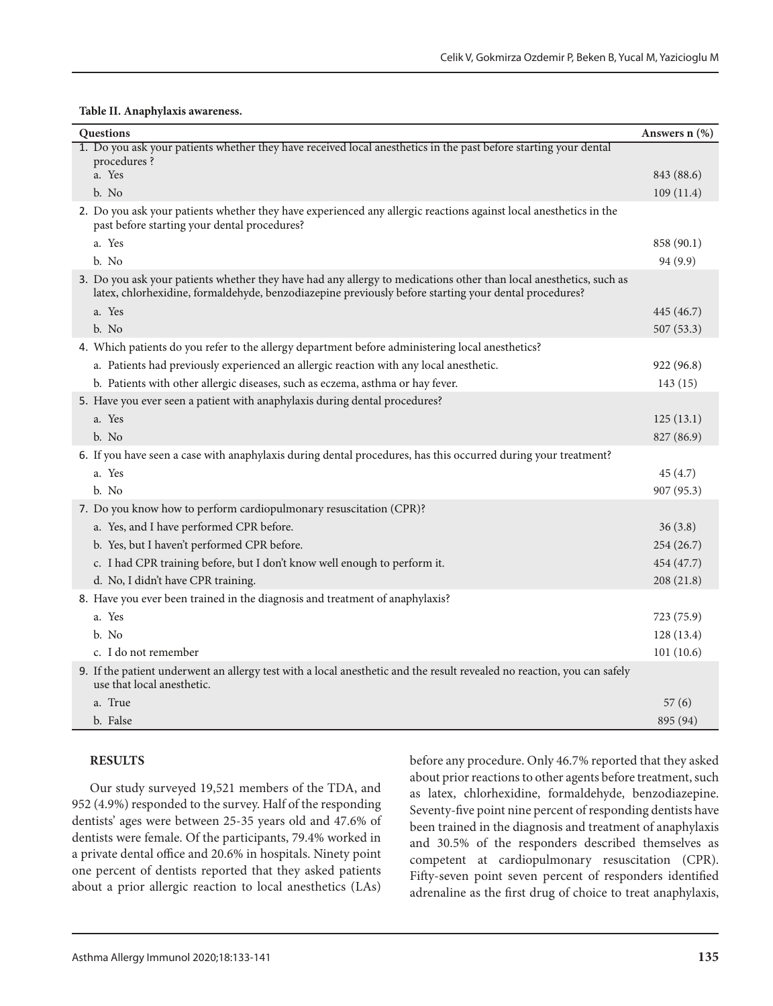**Table II. Anaphylaxis awareness.**

| Questions                                                                                                                                                                                                                   | Answers $n$ $(\%)$ |
|-----------------------------------------------------------------------------------------------------------------------------------------------------------------------------------------------------------------------------|--------------------|
| 1. Do you ask your patients whether they have received local anesthetics in the past before starting your dental<br>procedures?                                                                                             |                    |
| a. Yes                                                                                                                                                                                                                      | 843 (88.6)         |
| b. No                                                                                                                                                                                                                       | 109(11.4)          |
| 2. Do you ask your patients whether they have experienced any allergic reactions against local anesthetics in the<br>past before starting your dental procedures?                                                           |                    |
| a. Yes                                                                                                                                                                                                                      | 858 (90.1)         |
| b. No                                                                                                                                                                                                                       | 94 (9.9)           |
| 3. Do you ask your patients whether they have had any allergy to medications other than local anesthetics, such as<br>latex, chlorhexidine, formaldehyde, benzodiazepine previously before starting your dental procedures? |                    |
| a. Yes                                                                                                                                                                                                                      | 445 (46.7)         |
| b. No                                                                                                                                                                                                                       | 507(53.3)          |
| 4. Which patients do you refer to the allergy department before administering local anesthetics?                                                                                                                            |                    |
| a. Patients had previously experienced an allergic reaction with any local anesthetic.                                                                                                                                      | 922 (96.8)         |
| b. Patients with other allergic diseases, such as eczema, asthma or hay fever.                                                                                                                                              | 143(15)            |
| 5. Have you ever seen a patient with anaphylaxis during dental procedures?                                                                                                                                                  |                    |
| a. Yes                                                                                                                                                                                                                      | 125(13.1)          |
| b. No                                                                                                                                                                                                                       | 827 (86.9)         |
| 6. If you have seen a case with anaphylaxis during dental procedures, has this occurred during your treatment?                                                                                                              |                    |
| a. Yes                                                                                                                                                                                                                      | 45(4.7)            |
| b. No                                                                                                                                                                                                                       | 907 (95.3)         |
| 7. Do you know how to perform cardiopulmonary resuscitation (CPR)?                                                                                                                                                          |                    |
| a. Yes, and I have performed CPR before.                                                                                                                                                                                    | 36(3.8)            |
| b. Yes, but I haven't performed CPR before.                                                                                                                                                                                 | 254(26.7)          |
| c. I had CPR training before, but I don't know well enough to perform it.                                                                                                                                                   | 454 (47.7)         |
| d. No, I didn't have CPR training.                                                                                                                                                                                          | 208(21.8)          |
| 8. Have you ever been trained in the diagnosis and treatment of anaphylaxis?                                                                                                                                                |                    |
| a. Yes                                                                                                                                                                                                                      | 723 (75.9)         |
| b. No                                                                                                                                                                                                                       | 128 (13.4)         |
|                                                                                                                                                                                                                             |                    |
| c. I do not remember                                                                                                                                                                                                        | 101(10.6)          |
| 9. If the patient underwent an allergy test with a local anesthetic and the result revealed no reaction, you can safely<br>use that local anesthetic.                                                                       |                    |
| a. True                                                                                                                                                                                                                     | 57(6)              |
| b. False                                                                                                                                                                                                                    | 895 (94)           |

## **RESULTS**

Our study surveyed 19,521 members of the TDA, and 952 (4.9%) responded to the survey. Half of the responding dentists' ages were between 25-35 years old and 47.6% of dentists were female. Of the participants, 79.4% worked in a private dental office and 20.6% in hospitals. Ninety point one percent of dentists reported that they asked patients about a prior allergic reaction to local anesthetics (LAs)

before any procedure. Only 46.7% reported that they asked about prior reactions to other agents before treatment, such as latex, chlorhexidine, formaldehyde, benzodiazepine. Seventy-five point nine percent of responding dentists have been trained in the diagnosis and treatment of anaphylaxis and 30.5% of the responders described themselves as competent at cardiopulmonary resuscitation (CPR). Fifty-seven point seven percent of responders identified adrenaline as the first drug of choice to treat anaphylaxis,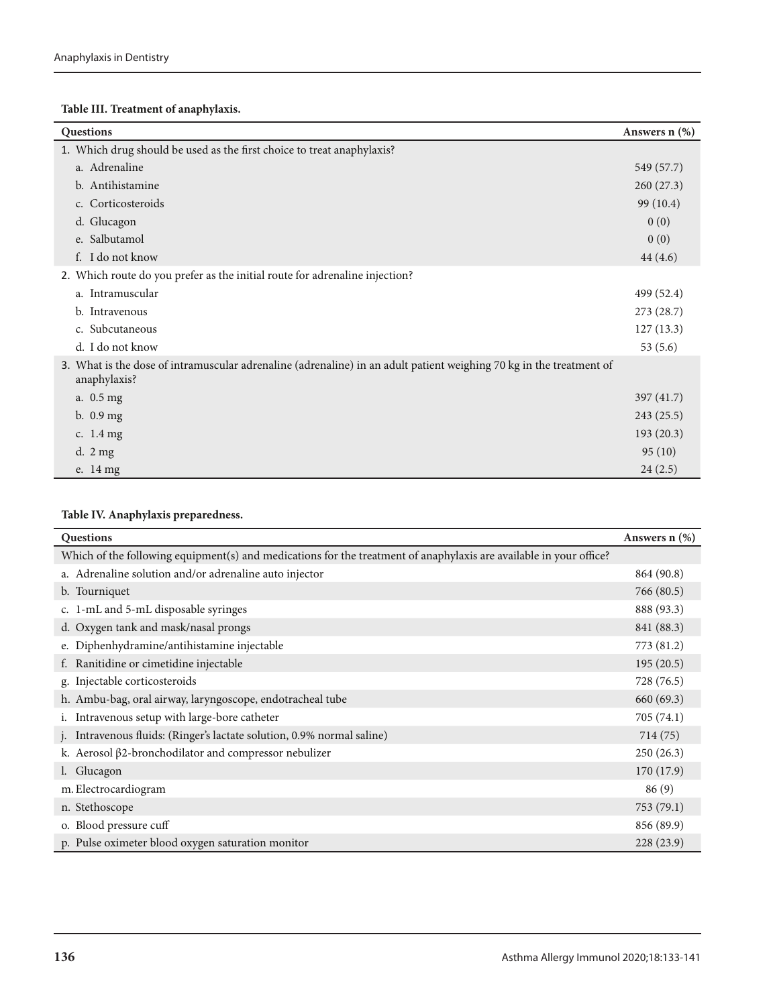## **Table III. Treatment of anaphylaxis.**

| <b>Questions</b>                                                                                                                    | Answers $n$ $(\%)$ |
|-------------------------------------------------------------------------------------------------------------------------------------|--------------------|
| 1. Which drug should be used as the first choice to treat anaphylaxis?                                                              |                    |
| a. Adrenaline                                                                                                                       | 549 (57.7)         |
| b. Antihistamine                                                                                                                    | 260(27.3)          |
| c. Corticosteroids                                                                                                                  | 99 (10.4)          |
| d. Glucagon                                                                                                                         | 0(0)               |
| e. Salbutamol                                                                                                                       | 0(0)               |
| f. I do not know                                                                                                                    | 44(4.6)            |
| 2. Which route do you prefer as the initial route for adrenaline injection?                                                         |                    |
| a. Intramuscular                                                                                                                    | 499 (52.4)         |
| b. Intravenous                                                                                                                      | 273 (28.7)         |
| c. Subcutaneous                                                                                                                     | 127(13.3)          |
| d. I do not know                                                                                                                    | 53 $(5.6)$         |
| 3. What is the dose of intramuscular adrenaline (adrenaline) in an adult patient weighing 70 kg in the treatment of<br>anaphylaxis? |                    |
| a. 0.5 mg                                                                                                                           | 397 (41.7)         |
| b. 0.9 mg                                                                                                                           | 243 (25.5)         |
| c. 1.4 mg                                                                                                                           | 193(20.3)          |
| d. $2 \text{ mg}$                                                                                                                   | 95(10)             |
| e. 14 mg                                                                                                                            | 24(2.5)            |

## **Table IV. Anaphylaxis preparedness.**

| Questions                                                                                                          | Answers $n$ $(\%)$ |
|--------------------------------------------------------------------------------------------------------------------|--------------------|
| Which of the following equipment(s) and medications for the treatment of anaphylaxis are available in your office? |                    |
| a. Adrenaline solution and/or adrenaline auto injector                                                             | 864 (90.8)         |
| b. Tourniquet                                                                                                      | 766 (80.5)         |
| c. 1-mL and 5-mL disposable syringes                                                                               | 888 (93.3)         |
| d. Oxygen tank and mask/nasal prongs                                                                               | 841 (88.3)         |
| e. Diphenhydramine/antihistamine injectable                                                                        | 773 (81.2)         |
| f. Ranitidine or cimetidine injectable                                                                             | 195(20.5)          |
| g. Injectable corticosteroids                                                                                      | 728 (76.5)         |
| h. Ambu-bag, oral airway, laryngoscope, endotracheal tube                                                          | 660 (69.3)         |
| i. Intravenous setup with large-bore catheter                                                                      | 705 (74.1)         |
| j. Intravenous fluids: (Ringer's lactate solution, 0.9% normal saline)                                             | 714 (75)           |
| k. Aerosol $\beta$ 2-bronchodilator and compressor nebulizer                                                       | 250(26.3)          |
| l. Glucagon                                                                                                        | 170 (17.9)         |
| m. Electrocardiogram                                                                                               | 86(9)              |
| n. Stethoscope                                                                                                     | 753 (79.1)         |
| o. Blood pressure cuff                                                                                             | 856 (89.9)         |
| p. Pulse oximeter blood oxygen saturation monitor                                                                  | 228 (23.9)         |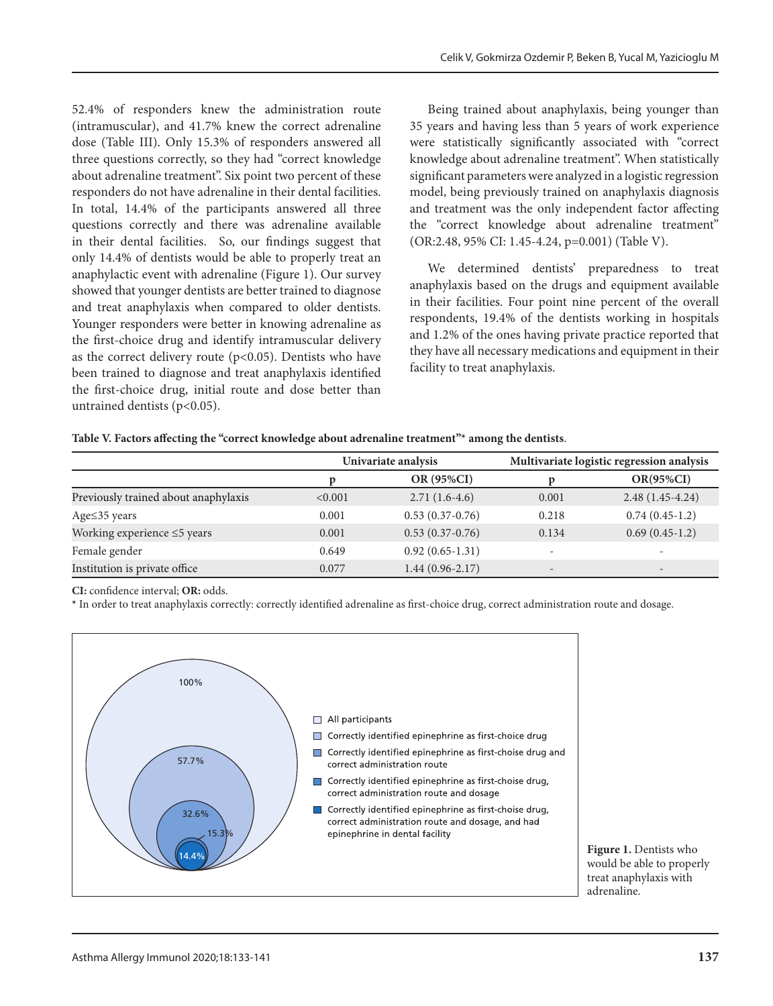52.4% of responders knew the administration route (intramuscular), and 41.7% knew the correct adrenaline dose (Table III). Only 15.3% of responders answered all three questions correctly, so they had "correct knowledge about adrenaline treatment". Six point two percent of these responders do not have adrenaline in their dental facilities. In total, 14.4% of the participants answered all three questions correctly and there was adrenaline available in their dental facilities. So, our findings suggest that only 14.4% of dentists would be able to properly treat an anaphylactic event with adrenaline (Figure 1). Our survey showed that younger dentists are better trained to diagnose and treat anaphylaxis when compared to older dentists. Younger responders were better in knowing adrenaline as the first-choice drug and identify intramuscular delivery as the correct delivery route ( $p<0.05$ ). Dentists who have been trained to diagnose and treat anaphylaxis identified the first-choice drug, initial route and dose better than untrained dentists (p<0.05).

Being trained about anaphylaxis, being younger than 35 years and having less than 5 years of work experience were statistically significantly associated with "correct knowledge about adrenaline treatment". When statistically significant parameters were analyzed in a logistic regression model, being previously trained on anaphylaxis diagnosis and treatment was the only independent factor affecting the "correct knowledge about adrenaline treatment" (OR:2.48, 95% CI: 1.45-4.24, p=0.001) (Table V).

We determined dentists' preparedness to treat anaphylaxis based on the drugs and equipment available in their facilities. Four point nine percent of the overall respondents, 19.4% of the dentists working in hospitals and 1.2% of the ones having private practice reported that they have all necessary medications and equipment in their facility to treat anaphylaxis.

|                                      | Univariate analysis |                   | Multivariate logistic regression analysis |                          |
|--------------------------------------|---------------------|-------------------|-------------------------------------------|--------------------------|
|                                      |                     | <b>OR (95%CI)</b> |                                           | $OR(95\%CI)$             |
| Previously trained about anaphylaxis | < 0.001             | $2.71(1.6-4.6)$   | 0.001                                     | $2.48(1.45-4.24)$        |
| Age $\leq$ 35 years                  | 0.001               | $0.53(0.37-0.76)$ | 0.218                                     | $0.74(0.45-1.2)$         |
| Working experience ≤5 years          | 0.001               | $0.53(0.37-0.76)$ | 0.134                                     | $0.69(0.45-1.2)$         |
| Female gender                        | 0.649               | $0.92(0.65-1.31)$ | $\overline{\phantom{a}}$                  | -                        |
| Institution is private office        | 0.077               | $1.44(0.96-2.17)$ | $\overline{\phantom{0}}$                  | $\overline{\phantom{0}}$ |

**CI:** confidence interval; **OR:** odds.

**\*** In order to treat anaphylaxis correctly: correctly identified adrenaline as first-choice drug, correct administration route and dosage.



**Figure 1.** Dentists who would be able to properly treat anaphylaxis with adrenaline.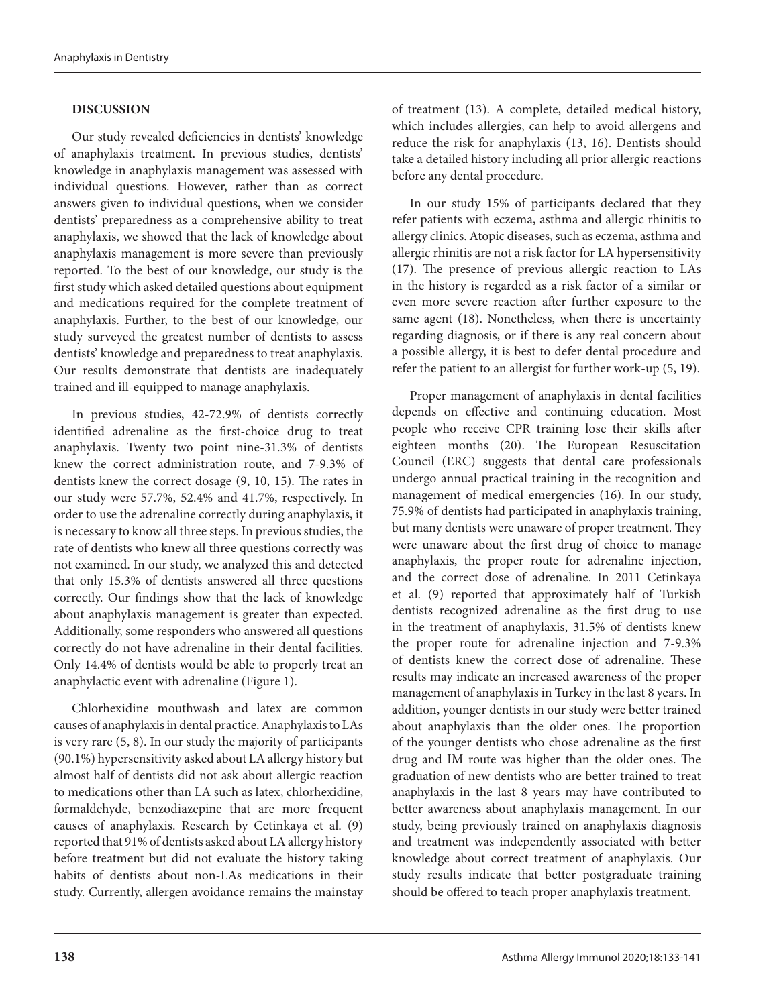## **DISCUSSION**

Our study revealed deficiencies in dentists' knowledge of anaphylaxis treatment. In previous studies, dentists' knowledge in anaphylaxis management was assessed with individual questions. However, rather than as correct answers given to individual questions, when we consider dentists' preparedness as a comprehensive ability to treat anaphylaxis, we showed that the lack of knowledge about anaphylaxis management is more severe than previously reported. To the best of our knowledge, our study is the first study which asked detailed questions about equipment and medications required for the complete treatment of anaphylaxis. Further, to the best of our knowledge, our study surveyed the greatest number of dentists to assess dentists' knowledge and preparedness to treat anaphylaxis. Our results demonstrate that dentists are inadequately trained and ill-equipped to manage anaphylaxis.

In previous studies, 42-72.9% of dentists correctly identified adrenaline as the first-choice drug to treat anaphylaxis. Twenty two point nine-31.3% of dentists knew the correct administration route, and 7-9.3% of dentists knew the correct dosage (9, 10, 15). The rates in our study were 57.7%, 52.4% and 41.7%, respectively. In order to use the adrenaline correctly during anaphylaxis, it is necessary to know all three steps. In previous studies, the rate of dentists who knew all three questions correctly was not examined. In our study, we analyzed this and detected that only 15.3% of dentists answered all three questions correctly. Our findings show that the lack of knowledge about anaphylaxis management is greater than expected. Additionally, some responders who answered all questions correctly do not have adrenaline in their dental facilities. Only 14.4% of dentists would be able to properly treat an anaphylactic event with adrenaline (Figure 1).

Chlorhexidine mouthwash and latex are common causes of anaphylaxis in dental practice. Anaphylaxis to LAs is very rare (5, 8). In our study the majority of participants (90.1%) hypersensitivity asked about LA allergy history but almost half of dentists did not ask about allergic reaction to medications other than LA such as latex, chlorhexidine, formaldehyde, benzodiazepine that are more frequent causes of anaphylaxis. Research by Cetinkaya et al. (9) reported that 91% of dentists asked about LA allergy history before treatment but did not evaluate the history taking habits of dentists about non-LAs medications in their study. Currently, allergen avoidance remains the mainstay of treatment (13). A complete, detailed medical history, which includes allergies, can help to avoid allergens and reduce the risk for anaphylaxis (13, 16). Dentists should take a detailed history including all prior allergic reactions before any dental procedure.

In our study 15% of participants declared that they refer patients with eczema, asthma and allergic rhinitis to allergy clinics. Atopic diseases, such as eczema, asthma and allergic rhinitis are not a risk factor for LA hypersensitivity (17). The presence of previous allergic reaction to LAs in the history is regarded as a risk factor of a similar or even more severe reaction after further exposure to the same agent (18). Nonetheless, when there is uncertainty regarding diagnosis, or if there is any real concern about a possible allergy, it is best to defer dental procedure and refer the patient to an allergist for further work-up (5, 19).

Proper management of anaphylaxis in dental facilities depends on effective and continuing education. Most people who receive CPR training lose their skills after eighteen months (20). The European Resuscitation Council (ERC) suggests that dental care professionals undergo annual practical training in the recognition and management of medical emergencies (16). In our study, 75.9% of dentists had participated in anaphylaxis training, but many dentists were unaware of proper treatment. They were unaware about the first drug of choice to manage anaphylaxis, the proper route for adrenaline injection, and the correct dose of adrenaline. In 2011 Cetinkaya et al. (9) reported that approximately half of Turkish dentists recognized adrenaline as the first drug to use in the treatment of anaphylaxis, 31.5% of dentists knew the proper route for adrenaline injection and 7-9.3% of dentists knew the correct dose of adrenaline. These results may indicate an increased awareness of the proper management of anaphylaxis in Turkey in the last 8 years. In addition, younger dentists in our study were better trained about anaphylaxis than the older ones. The proportion of the younger dentists who chose adrenaline as the first drug and IM route was higher than the older ones. The graduation of new dentists who are better trained to treat anaphylaxis in the last 8 years may have contributed to better awareness about anaphylaxis management. In our study, being previously trained on anaphylaxis diagnosis and treatment was independently associated with better knowledge about correct treatment of anaphylaxis. Our study results indicate that better postgraduate training should be offered to teach proper anaphylaxis treatment.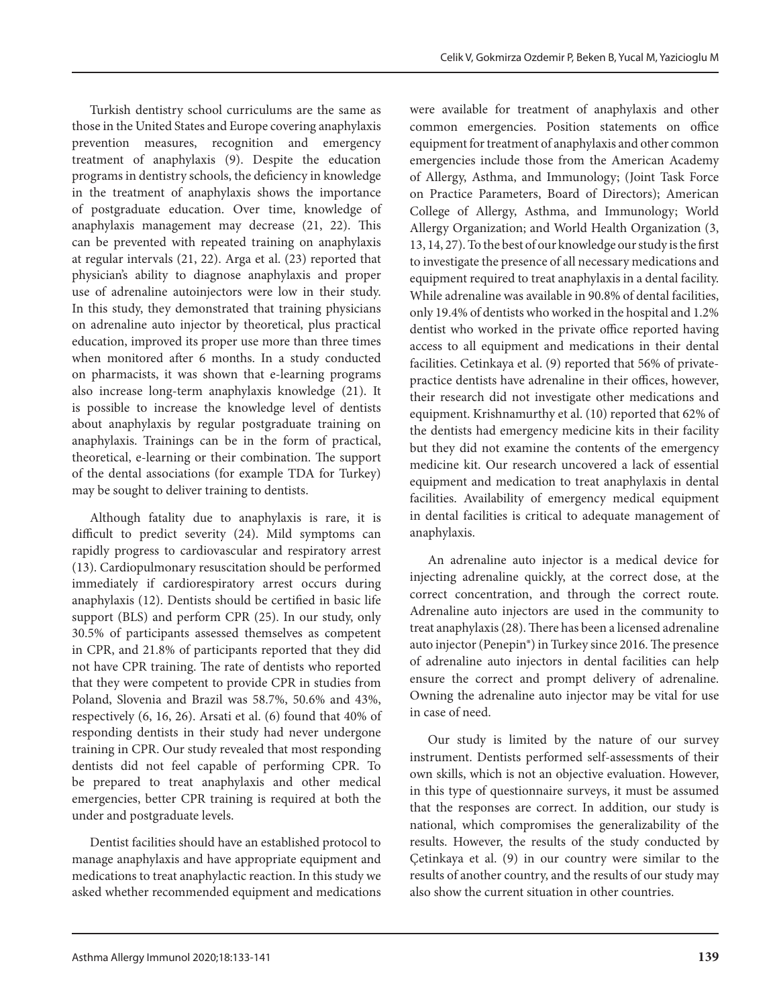Turkish dentistry school curriculums are the same as those in the United States and Europe covering anaphylaxis prevention measures, recognition and emergency treatment of anaphylaxis (9). Despite the education programs in dentistry schools, the deficiency in knowledge in the treatment of anaphylaxis shows the importance of postgraduate education. Over time, knowledge of anaphylaxis management may decrease (21, 22). This can be prevented with repeated training on anaphylaxis at regular intervals (21, 22). Arga et al. (23) reported that physician's ability to diagnose anaphylaxis and proper use of adrenaline autoinjectors were low in their study. In this study, they demonstrated that training physicians on adrenaline auto injector by theoretical, plus practical education, improved its proper use more than three times when monitored after 6 months. In a study conducted on pharmacists, it was shown that e-learning programs also increase long-term anaphylaxis knowledge (21). It is possible to increase the knowledge level of dentists about anaphylaxis by regular postgraduate training on anaphylaxis. Trainings can be in the form of practical, theoretical, e-learning or their combination. The support of the dental associations (for example TDA for Turkey) may be sought to deliver training to dentists.

Although fatality due to anaphylaxis is rare, it is difficult to predict severity (24). Mild symptoms can rapidly progress to cardiovascular and respiratory arrest (13). Cardiopulmonary resuscitation should be performed immediately if cardiorespiratory arrest occurs during anaphylaxis (12). Dentists should be certified in basic life support (BLS) and perform CPR (25). In our study, only 30.5% of participants assessed themselves as competent in CPR, and 21.8% of participants reported that they did not have CPR training. The rate of dentists who reported that they were competent to provide CPR in studies from Poland, Slovenia and Brazil was 58.7%, 50.6% and 43%, respectively (6, 16, 26). Arsati et al. (6) found that 40% of responding dentists in their study had never undergone training in CPR. Our study revealed that most responding dentists did not feel capable of performing CPR. To be prepared to treat anaphylaxis and other medical emergencies, better CPR training is required at both the under and postgraduate levels.

Dentist facilities should have an established protocol to manage anaphylaxis and have appropriate equipment and medications to treat anaphylactic reaction. In this study we asked whether recommended equipment and medications

were available for treatment of anaphylaxis and other common emergencies. Position statements on office equipment for treatment of anaphylaxis and other common emergencies include those from the American Academy of Allergy, Asthma, and Immunology; (Joint Task Force on Practice Parameters, Board of Directors); American College of Allergy, Asthma, and Immunology; World Allergy Organization; and World Health Organization (3, 13, 14, 27). To the best of our knowledge our study is the first to investigate the presence of all necessary medications and equipment required to treat anaphylaxis in a dental facility. While adrenaline was available in 90.8% of dental facilities, only 19.4% of dentists who worked in the hospital and 1.2% dentist who worked in the private office reported having access to all equipment and medications in their dental facilities. Cetinkaya et al. (9) reported that 56% of privatepractice dentists have adrenaline in their offices, however, their research did not investigate other medications and equipment. Krishnamurthy et al. (10) reported that 62% of the dentists had emergency medicine kits in their facility but they did not examine the contents of the emergency medicine kit. Our research uncovered a lack of essential equipment and medication to treat anaphylaxis in dental facilities. Availability of emergency medical equipment in dental facilities is critical to adequate management of anaphylaxis.

An adrenaline auto injector is a medical device for injecting adrenaline quickly, at the correct dose, at the correct concentration, and through the correct route. Adrenaline auto injectors are used in the community to treat anaphylaxis (28). There has been a licensed adrenaline auto injector (Penepin®) in Turkey since 2016. The presence of adrenaline auto injectors in dental facilities can help ensure the correct and prompt delivery of adrenaline. Owning the adrenaline auto injector may be vital for use in case of need.

Our study is limited by the nature of our survey instrument. Dentists performed self-assessments of their own skills, which is not an objective evaluation. However, in this type of questionnaire surveys, it must be assumed that the responses are correct. In addition, our study is national, which compromises the generalizability of the results. However, the results of the study conducted by Çetinkaya et al. (9) in our country were similar to the results of another country, and the results of our study may also show the current situation in other countries.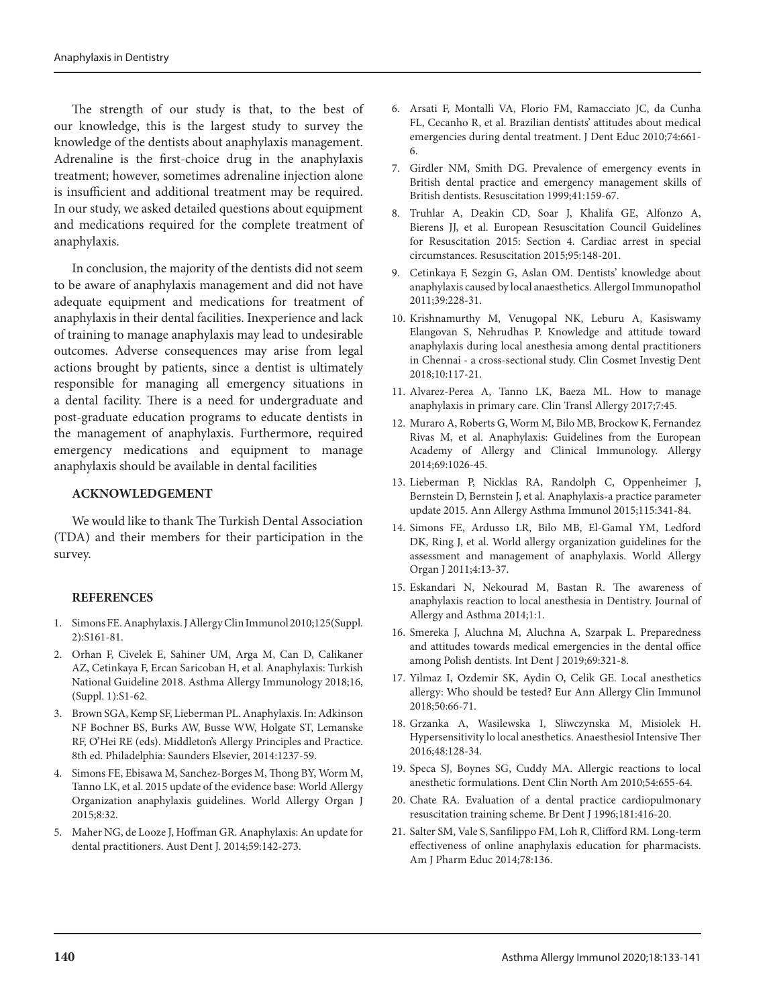The strength of our study is that, to the best of our knowledge, this is the largest study to survey the knowledge of the dentists about anaphylaxis management. Adrenaline is the first-choice drug in the anaphylaxis treatment; however, sometimes adrenaline injection alone is insufficient and additional treatment may be required. In our study, we asked detailed questions about equipment and medications required for the complete treatment of anaphylaxis.

In conclusion, the majority of the dentists did not seem to be aware of anaphylaxis management and did not have adequate equipment and medications for treatment of anaphylaxis in their dental facilities. Inexperience and lack of training to manage anaphylaxis may lead to undesirable outcomes. Adverse consequences may arise from legal actions brought by patients, since a dentist is ultimately responsible for managing all emergency situations in a dental facility. There is a need for undergraduate and post-graduate education programs to educate dentists in the management of anaphylaxis. Furthermore, required emergency medications and equipment to manage anaphylaxis should be available in dental facilities

## **ACKNOWLEDGEMENT**

We would like to thank The Turkish Dental Association (TDA) and their members for their participation in the survey.

## **REFERENCES**

- 1. Simons FE. Anaphylaxis. J Allergy Clin Immunol 2010;125(Suppl. 2):S161-81.
- 2. Orhan F, Civelek E, Sahiner UM, Arga M, Can D, Calikaner AZ, Cetinkaya F, Ercan Saricoban H, et al. Anaphylaxis: Turkish National Guideline 2018. Asthma Allergy Immunology 2018;16, (Suppl. 1):S1-62.
- 3. Brown SGA, Kemp SF, Lieberman PL. Anaphylaxis. In: Adkinson NF Bochner BS, Burks AW, Busse WW, Holgate ST, Lemanske RF, O'Hei RE (eds). Middleton's Allergy Principles and Practice. 8th ed. Philadelphia: Saunders Elsevier, 2014:1237-59.
- 4. Simons FE, Ebisawa M, Sanchez-Borges M, Thong BY, Worm M, Tanno LK, et al. 2015 update of the evidence base: World Allergy Organization anaphylaxis guidelines. World Allergy Organ J 2015;8:32.
- 5. Maher NG, de Looze J, Hoffman GR. Anaphylaxis: An update for dental practitioners. Aust Dent J. 2014;59:142-273.
- 6. Arsati F, Montalli VA, Florio FM, Ramacciato JC, da Cunha FL, Cecanho R, et al. Brazilian dentists' attitudes about medical emergencies during dental treatment. J Dent Educ 2010;74:661- 6.
- 7. Girdler NM, Smith DG. Prevalence of emergency events in British dental practice and emergency management skills of British dentists. Resuscitation 1999;41:159-67.
- 8. Truhlar A, Deakin CD, Soar J, Khalifa GE, Alfonzo A, Bierens JJ, et al. European Resuscitation Council Guidelines for Resuscitation 2015: Section 4. Cardiac arrest in special circumstances. Resuscitation 2015;95:148-201.
- 9. Cetinkaya F, Sezgin G, Aslan OM. Dentists' knowledge about anaphylaxis caused by local anaesthetics. Allergol Immunopathol 2011;39:228-31.
- 10. Krishnamurthy M, Venugopal NK, Leburu A, Kasiswamy Elangovan S, Nehrudhas P. Knowledge and attitude toward anaphylaxis during local anesthesia among dental practitioners in Chennai - a cross-sectional study. Clin Cosmet Investig Dent 2018;10:117-21.
- 11. Alvarez-Perea A, Tanno LK, Baeza ML. How to manage anaphylaxis in primary care. Clin Transl Allergy 2017;7:45.
- 12. Muraro A, Roberts G, Worm M, Bilo MB, Brockow K, Fernandez Rivas M, et al. Anaphylaxis: Guidelines from the European Academy of Allergy and Clinical Immunology. Allergy 2014;69:1026-45.
- 13. Lieberman P, Nicklas RA, Randolph C, Oppenheimer J, Bernstein D, Bernstein J, et al. Anaphylaxis-a practice parameter update 2015. Ann Allergy Asthma Immunol 2015;115:341-84.
- 14. Simons FE, Ardusso LR, Bilo MB, El-Gamal YM, Ledford DK, Ring J, et al. World allergy organization guidelines for the assessment and management of anaphylaxis. World Allergy Organ J 2011;4:13-37.
- 15. Eskandari N, Nekourad M, Bastan R. The awareness of anaphylaxis reaction to local anesthesia in Dentistry. Journal of Allergy and Asthma 2014;1:1.
- 16. Smereka J, Aluchna M, Aluchna A, Szarpak L. Preparedness and attitudes towards medical emergencies in the dental office among Polish dentists. Int Dent J 2019;69:321-8.
- 17. Yilmaz I, Ozdemir SK, Aydin O, Celik GE. Local anesthetics allergy: Who should be tested? Eur Ann Allergy Clin Immunol 2018;50:66-71.
- 18. Grzanka A, Wasilewska I, Sliwczynska M, Misiolek H. Hypersensitivity lo local anesthetics. Anaesthesiol Intensive Ther 2016;48:128-34.
- 19. Speca SJ, Boynes SG, Cuddy MA. Allergic reactions to local anesthetic formulations. Dent Clin North Am 2010;54:655-64.
- 20. Chate RA. Evaluation of a dental practice cardiopulmonary resuscitation training scheme. Br Dent J 1996;181:416-20.
- 21. Salter SM, Vale S, Sanfilippo FM, Loh R, Clifford RM. Long-term effectiveness of online anaphylaxis education for pharmacists. Am J Pharm Educ 2014;78:136.